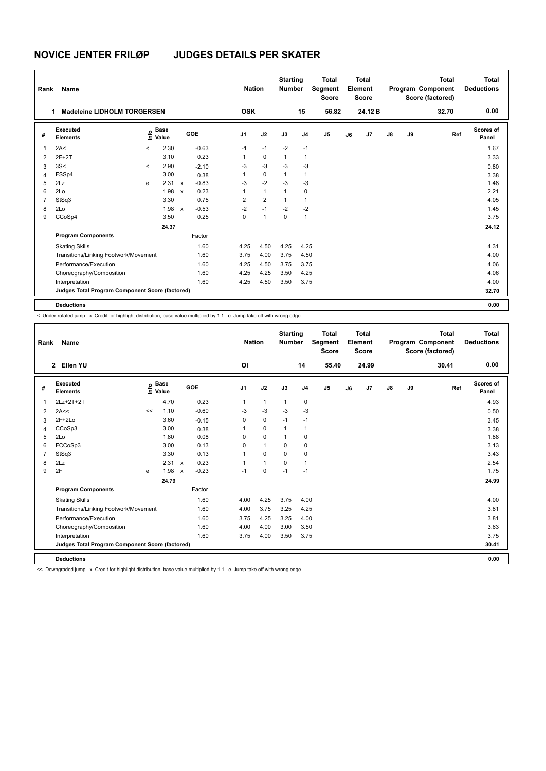| Rank           | Name                                            |         |                      |                           |            |                | <b>Nation</b> |                | <b>Starting</b><br><b>Number</b> |                | <b>Total</b><br>Segment<br><b>Score</b> |    | Total<br>Element<br><b>Score</b> |               |    | <b>Total</b><br>Program Component<br>Score (factored) | <b>Total</b><br><b>Deductions</b> |
|----------------|-------------------------------------------------|---------|----------------------|---------------------------|------------|----------------|---------------|----------------|----------------------------------|----------------|-----------------------------------------|----|----------------------------------|---------------|----|-------------------------------------------------------|-----------------------------------|
|                | <b>Madeleine LIDHOLM TORGERSEN</b><br>1         |         |                      |                           |            | <b>OSK</b>     |               |                |                                  | 15             | 56.82                                   |    | 24.12 B                          |               |    | 32.70                                                 | 0.00                              |
| #              | Executed<br><b>Elements</b>                     | ١m      | <b>Base</b><br>Value |                           | <b>GOE</b> | J1             | J2            |                | J3                               | J <sub>4</sub> | J <sub>5</sub>                          | J6 | J7                               | $\mathsf{J}8$ | J9 | Ref                                                   | Scores of<br>Panel                |
| $\overline{1}$ | 2A<                                             | $\prec$ | 2.30                 |                           | $-0.63$    | $-1$           | $-1$          |                | $-2$                             | $-1$           |                                         |    |                                  |               |    |                                                       | 1.67                              |
| 2              | $2F+2T$                                         |         | 3.10                 |                           | 0.23       | 1              |               | $\mathbf 0$    | $\mathbf{1}$                     | 1              |                                         |    |                                  |               |    |                                                       | 3.33                              |
| 3              | 3S<                                             | $\prec$ | 2.90                 |                           | $-2.10$    | -3             | $-3$          |                | $-3$                             | $-3$           |                                         |    |                                  |               |    |                                                       | 0.80                              |
| $\overline{4}$ | FSSp4                                           |         | 3.00                 |                           | 0.38       | 1              |               | 0              | $\mathbf{1}$                     | 1              |                                         |    |                                  |               |    |                                                       | 3.38                              |
| 5              | 2Lz                                             | e       | 2.31 x               |                           | $-0.83$    | $-3$           | $-2$          |                | $-3$                             | $-3$           |                                         |    |                                  |               |    |                                                       | 1.48                              |
| 6              | 2Lo                                             |         | 1.98                 | $\boldsymbol{\mathsf{x}}$ | 0.23       | 1              | $\mathbf{1}$  |                | $\mathbf{1}$                     | 0              |                                         |    |                                  |               |    |                                                       | 2.21                              |
| 7              | StSq3                                           |         | 3.30                 |                           | 0.75       | $\overline{2}$ |               | $\overline{2}$ | 1                                | 1              |                                         |    |                                  |               |    |                                                       | 4.05                              |
| 8              | 2Lo                                             |         | 1.98                 | $\boldsymbol{\mathsf{x}}$ | $-0.53$    | $-2$           | $-1$          |                | $-2$                             | $-2$           |                                         |    |                                  |               |    |                                                       | 1.45                              |
| 9              | CCoSp4                                          |         | 3.50                 |                           | 0.25       | 0              | $\mathbf{1}$  |                | 0                                | 1              |                                         |    |                                  |               |    |                                                       | 3.75                              |
|                |                                                 |         | 24.37                |                           |            |                |               |                |                                  |                |                                         |    |                                  |               |    |                                                       | 24.12                             |
|                | <b>Program Components</b>                       |         |                      |                           | Factor     |                |               |                |                                  |                |                                         |    |                                  |               |    |                                                       |                                   |
|                | <b>Skating Skills</b>                           |         |                      |                           | 1.60       | 4.25           |               | 4.50           | 4.25                             | 4.25           |                                         |    |                                  |               |    |                                                       | 4.31                              |
|                | Transitions/Linking Footwork/Movement           |         |                      |                           | 1.60       | 3.75           |               | 4.00           | 3.75                             | 4.50           |                                         |    |                                  |               |    |                                                       | 4.00                              |
|                | Performance/Execution                           |         |                      |                           | 1.60       | 4.25           |               | 4.50           | 3.75                             | 3.75           |                                         |    |                                  |               |    |                                                       | 4.06                              |
|                | Choreography/Composition                        |         |                      |                           | 1.60       | 4.25           |               | 4.25           | 3.50                             | 4.25           |                                         |    |                                  |               |    |                                                       | 4.06                              |
|                | Interpretation                                  |         |                      |                           | 1.60       | 4.25           |               | 4.50           | 3.50                             | 3.75           |                                         |    |                                  |               |    |                                                       | 4.00                              |
|                | Judges Total Program Component Score (factored) |         |                      |                           |            |                |               |                |                                  |                |                                         |    |                                  |               |    |                                                       | 32.70                             |
|                | <b>Deductions</b>                               |         |                      |                           |            |                |               |                |                                  |                |                                         |    |                                  |               |    |                                                       | 0.00                              |

< Under-rotated jump x Credit for highlight distribution, base value multiplied by 1.1 e Jump take off with wrong edge

| Rank           | <b>Name</b>                                     |    |                                  |                           |         | <b>Nation</b>  |              | <b>Starting</b><br><b>Number</b> |                | <b>Total</b><br>Segment<br><b>Score</b> |    | <b>Total</b><br>Element<br><b>Score</b> |               |    | <b>Total</b><br>Program Component<br>Score (factored) | <b>Total</b><br><b>Deductions</b> |
|----------------|-------------------------------------------------|----|----------------------------------|---------------------------|---------|----------------|--------------|----------------------------------|----------------|-----------------------------------------|----|-----------------------------------------|---------------|----|-------------------------------------------------------|-----------------------------------|
|                | 2 Ellen YU                                      |    |                                  |                           |         | ΟI             |              |                                  | 14             | 55.40                                   |    | 24.99                                   |               |    | 30.41                                                 | 0.00                              |
| #              | Executed<br><b>Elements</b>                     |    | <b>Base</b><br>o Base<br>⊆ Value |                           | GOE     | J <sub>1</sub> | J2           | J3                               | J <sub>4</sub> | J <sub>5</sub>                          | J6 | J7                                      | $\mathsf{J}8$ | J9 | Ref                                                   | Scores of<br>Panel                |
| 1              | 2Lz+2T+2T                                       |    | 4.70                             |                           | 0.23    | 1              | $\mathbf{1}$ | $\mathbf{1}$                     | $\mathbf 0$    |                                         |    |                                         |               |    |                                                       | 4.93                              |
| 2              | 2A<<                                            | << | 1.10                             |                           | $-0.60$ | $-3$           | $-3$         | $-3$                             | $-3$           |                                         |    |                                         |               |    |                                                       | 0.50                              |
| 3              | $2F+2Lo$                                        |    | 3.60                             |                           | $-0.15$ | 0              | 0            | $-1$                             | $-1$           |                                         |    |                                         |               |    |                                                       | 3.45                              |
| $\overline{4}$ | CCoSp3                                          |    | 3.00                             |                           | 0.38    | 1              | $\Omega$     | $\overline{1}$                   | $\overline{1}$ |                                         |    |                                         |               |    |                                                       | 3.38                              |
| 5              | 2Lo                                             |    | 1.80                             |                           | 0.08    | $\Omega$       | $\Omega$     | $\overline{1}$                   | $\mathbf 0$    |                                         |    |                                         |               |    |                                                       | 1.88                              |
| 6              | FCCoSp3                                         |    | 3.00                             |                           | 0.13    | 0              | $\mathbf{1}$ | 0                                | 0              |                                         |    |                                         |               |    |                                                       | 3.13                              |
| 7              | StSq3                                           |    | 3.30                             |                           | 0.13    | 1              | $\Omega$     | $\Omega$                         | 0              |                                         |    |                                         |               |    |                                                       | 3.43                              |
| 8              | 2Lz                                             |    | 2.31                             | $\mathsf{x}$              | 0.23    |                | $\mathbf{1}$ | $\mathbf 0$                      | $\mathbf{1}$   |                                         |    |                                         |               |    |                                                       | 2.54                              |
| 9              | 2F                                              | e  | 1.98                             | $\boldsymbol{\mathsf{x}}$ | $-0.23$ | $-1$           | $\mathbf 0$  | $-1$                             | $-1$           |                                         |    |                                         |               |    |                                                       | 1.75                              |
|                |                                                 |    | 24.79                            |                           |         |                |              |                                  |                |                                         |    |                                         |               |    |                                                       | 24.99                             |
|                | <b>Program Components</b>                       |    |                                  |                           | Factor  |                |              |                                  |                |                                         |    |                                         |               |    |                                                       |                                   |
|                | <b>Skating Skills</b>                           |    |                                  |                           | 1.60    | 4.00           | 4.25         | 3.75                             | 4.00           |                                         |    |                                         |               |    |                                                       | 4.00                              |
|                | Transitions/Linking Footwork/Movement           |    |                                  |                           | 1.60    | 4.00           | 3.75         | 3.25                             | 4.25           |                                         |    |                                         |               |    |                                                       | 3.81                              |
|                | Performance/Execution                           |    |                                  |                           | 1.60    | 3.75           | 4.25         | 3.25                             | 4.00           |                                         |    |                                         |               |    |                                                       | 3.81                              |
|                | Choreography/Composition                        |    |                                  |                           | 1.60    | 4.00           | 4.00         | 3.00                             | 3.50           |                                         |    |                                         |               |    |                                                       | 3.63                              |
|                | Interpretation                                  |    |                                  |                           | 1.60    | 3.75           | 4.00         | 3.50                             | 3.75           |                                         |    |                                         |               |    |                                                       | 3.75                              |
|                | Judges Total Program Component Score (factored) |    |                                  |                           |         |                |              |                                  |                |                                         |    |                                         |               |    |                                                       | 30.41                             |
|                | <b>Deductions</b>                               |    |                                  |                           |         |                |              |                                  |                |                                         |    |                                         |               |    |                                                       | 0.00                              |

<< Downgraded jump x Credit for highlight distribution, base value multiplied by 1.1 e Jump take off with wrong edge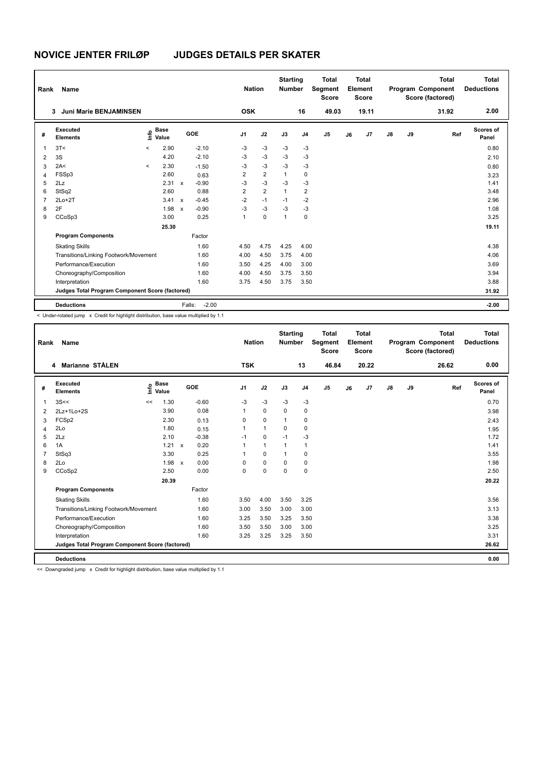| Rank           | Name                                            |         |                      |                           |                   | <b>Nation</b>  |                | <b>Starting</b><br><b>Number</b> |                | <b>Total</b><br>Segment<br><b>Score</b> |    | <b>Total</b><br>Element<br><b>Score</b> |               |    | <b>Total</b><br>Program Component<br>Score (factored) | <b>Total</b><br><b>Deductions</b> |
|----------------|-------------------------------------------------|---------|----------------------|---------------------------|-------------------|----------------|----------------|----------------------------------|----------------|-----------------------------------------|----|-----------------------------------------|---------------|----|-------------------------------------------------------|-----------------------------------|
|                | Juni Marie BENJAMINSEN<br>3                     |         |                      |                           |                   | <b>OSK</b>     |                |                                  | 16             | 49.03                                   |    | 19.11                                   |               |    | 31.92                                                 | 2.00                              |
| #              | Executed<br><b>Elements</b>                     | ١m      | <b>Base</b><br>Value |                           | GOE               | J <sub>1</sub> | J2             | J3                               | J <sub>4</sub> | J <sub>5</sub>                          | J6 | J <sub>7</sub>                          | $\mathsf{J}8$ | J9 | Ref                                                   | Scores of<br>Panel                |
| $\overline{1}$ | 3T<                                             | $\prec$ | 2.90                 |                           | $-2.10$           | $-3$           | $-3$           | $-3$                             | $-3$           |                                         |    |                                         |               |    |                                                       | 0.80                              |
| $\overline{2}$ | 3S                                              |         | 4.20                 |                           | $-2.10$           | $-3$           | $-3$           | $-3$                             | $-3$           |                                         |    |                                         |               |    |                                                       | 2.10                              |
| 3              | 2A<                                             | $\prec$ | 2.30                 |                           | $-1.50$           | -3             | $-3$           | $-3$                             | $-3$           |                                         |    |                                         |               |    |                                                       | 0.80                              |
| $\overline{4}$ | FSSp3                                           |         | 2.60                 |                           | 0.63              | 2              | $\overline{2}$ | $\mathbf{1}$                     | 0              |                                         |    |                                         |               |    |                                                       | 3.23                              |
| 5              | 2Lz                                             |         | 2.31                 | $\mathsf{x}$              | $-0.90$           | $-3$           | $-3$           | $-3$                             | $-3$           |                                         |    |                                         |               |    |                                                       | 1.41                              |
| 6              | StSq2                                           |         | 2.60                 |                           | 0.88              | $\overline{2}$ | $\overline{2}$ | $\overline{1}$                   | $\overline{2}$ |                                         |    |                                         |               |    |                                                       | 3.48                              |
| $\overline{7}$ | $2Lo+2T$                                        |         | 3.41                 | $\boldsymbol{\mathsf{x}}$ | $-0.45$           | $-2$           | $-1$           | $-1$                             | $-2$           |                                         |    |                                         |               |    |                                                       | 2.96                              |
| 8              | 2F                                              |         | 1.98                 | $\boldsymbol{\mathsf{x}}$ | $-0.90$           | $-3$           | $-3$           | $-3$                             | $-3$           |                                         |    |                                         |               |    |                                                       | 1.08                              |
| 9              | CCoSp3                                          |         | 3.00                 |                           | 0.25              | 1              | $\mathbf 0$    | $\mathbf{1}$                     | $\Omega$       |                                         |    |                                         |               |    |                                                       | 3.25                              |
|                |                                                 |         | 25.30                |                           |                   |                |                |                                  |                |                                         |    |                                         |               |    |                                                       | 19.11                             |
|                | <b>Program Components</b>                       |         |                      |                           | Factor            |                |                |                                  |                |                                         |    |                                         |               |    |                                                       |                                   |
|                | <b>Skating Skills</b>                           |         |                      |                           | 1.60              | 4.50           | 4.75           | 4.25                             | 4.00           |                                         |    |                                         |               |    |                                                       | 4.38                              |
|                | Transitions/Linking Footwork/Movement           |         |                      |                           | 1.60              | 4.00           | 4.50           | 3.75                             | 4.00           |                                         |    |                                         |               |    |                                                       | 4.06                              |
|                | Performance/Execution                           |         |                      |                           | 1.60              | 3.50           | 4.25           | 4.00                             | 3.00           |                                         |    |                                         |               |    |                                                       | 3.69                              |
|                | Choreography/Composition                        |         |                      |                           | 1.60              | 4.00           | 4.50           | 3.75                             | 3.50           |                                         |    |                                         |               |    |                                                       | 3.94                              |
|                | Interpretation                                  |         |                      |                           | 1.60              | 3.75           | 4.50           | 3.75                             | 3.50           |                                         |    |                                         |               |    |                                                       | 3.88                              |
|                | Judges Total Program Component Score (factored) |         |                      |                           |                   |                |                |                                  |                |                                         |    |                                         |               |    |                                                       | 31.92                             |
|                | <b>Deductions</b>                               |         |                      |                           | $-2.00$<br>Falls: |                |                |                                  |                |                                         |    |                                         |               |    |                                                       | $-2.00$                           |

< Under-rotated jump x Credit for highlight distribution, base value multiplied by 1.1

| Rank | Name                                            |                            |              |         | <b>Nation</b> |              | <b>Starting</b><br><b>Number</b> |                | <b>Total</b><br>Segment<br><b>Score</b> |    | <b>Total</b><br>Element<br><b>Score</b> |               |    | <b>Total</b><br>Program Component<br>Score (factored) | <b>Total</b><br><b>Deductions</b> |
|------|-------------------------------------------------|----------------------------|--------------|---------|---------------|--------------|----------------------------------|----------------|-----------------------------------------|----|-----------------------------------------|---------------|----|-------------------------------------------------------|-----------------------------------|
|      | 4 Marianne STÅLEN                               |                            |              |         | <b>TSK</b>    |              |                                  | 13             | 46.84                                   |    | 20.22                                   |               |    | 26.62                                                 | 0.00                              |
| #    | <b>Executed</b><br><b>Elements</b>              | <b>Base</b><br>۴٥<br>Value |              | GOE     | J1            | J2           | J3                               | J <sub>4</sub> | J5                                      | J6 | J7                                      | $\mathsf{J}8$ | J9 | Ref                                                   | Scores of<br>Panel                |
| 1    | 3S<<                                            | 1.30<br><<                 |              | $-0.60$ | $-3$          | $-3$         | $-3$                             | $-3$           |                                         |    |                                         |               |    |                                                       | 0.70                              |
| 2    | 2Lz+1Lo+2S                                      | 3.90                       |              | 0.08    | 1             | $\mathbf 0$  | $\Omega$                         | $\mathbf 0$    |                                         |    |                                         |               |    |                                                       | 3.98                              |
| 3    | FCSp2                                           | 2.30                       |              | 0.13    | 0             | 0            | $\mathbf 1$                      | 0              |                                         |    |                                         |               |    |                                                       | 2.43                              |
| 4    | 2Lo                                             | 1.80                       |              | 0.15    |               | $\mathbf{1}$ | 0                                | $\mathbf 0$    |                                         |    |                                         |               |    |                                                       | 1.95                              |
| 5    | 2Lz                                             | 2.10                       |              | $-0.38$ | $-1$          | $\mathbf 0$  | $-1$                             | $-3$           |                                         |    |                                         |               |    |                                                       | 1.72                              |
| 6    | 1A                                              | 1.21                       | $\mathsf{x}$ | 0.20    |               | $\mathbf{1}$ | 1                                | $\mathbf{1}$   |                                         |    |                                         |               |    |                                                       | 1.41                              |
|      | StSq3                                           | 3.30                       |              | 0.25    |               | 0            | 1                                | 0              |                                         |    |                                         |               |    |                                                       | 3.55                              |
| 8    | 2Lo                                             |                            | 1.98 x       | 0.00    | 0             | $\mathbf 0$  | $\Omega$                         | 0              |                                         |    |                                         |               |    |                                                       | 1.98                              |
| 9    | CCoSp2                                          | 2.50                       |              | 0.00    | 0             | $\mathbf 0$  | $\mathbf 0$                      | $\mathbf 0$    |                                         |    |                                         |               |    |                                                       | 2.50                              |
|      |                                                 | 20.39                      |              |         |               |              |                                  |                |                                         |    |                                         |               |    |                                                       | 20.22                             |
|      | <b>Program Components</b>                       |                            |              | Factor  |               |              |                                  |                |                                         |    |                                         |               |    |                                                       |                                   |
|      | <b>Skating Skills</b>                           |                            |              | 1.60    | 3.50          | 4.00         | 3.50                             | 3.25           |                                         |    |                                         |               |    |                                                       | 3.56                              |
|      | Transitions/Linking Footwork/Movement           |                            |              | 1.60    | 3.00          | 3.50         | 3.00                             | 3.00           |                                         |    |                                         |               |    |                                                       | 3.13                              |
|      | Performance/Execution                           |                            |              | 1.60    | 3.25          | 3.50         | 3.25                             | 3.50           |                                         |    |                                         |               |    |                                                       | 3.38                              |
|      | Choreography/Composition                        |                            |              | 1.60    | 3.50          | 3.50         | 3.00                             | 3.00           |                                         |    |                                         |               |    |                                                       | 3.25                              |
|      | Interpretation                                  |                            |              | 1.60    | 3.25          | 3.25         | 3.25                             | 3.50           |                                         |    |                                         |               |    |                                                       | 3.31                              |
|      | Judges Total Program Component Score (factored) |                            |              |         |               |              |                                  |                |                                         |    |                                         |               |    |                                                       | 26.62                             |
|      | <b>Deductions</b>                               |                            |              |         |               |              |                                  |                |                                         |    |                                         |               |    |                                                       | 0.00                              |

<< Downgraded jump x Credit for highlight distribution, base value multiplied by 1.1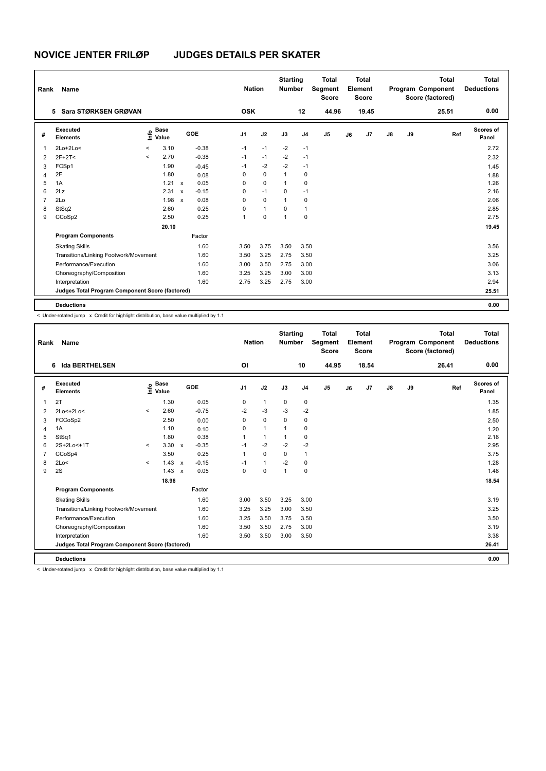| Rank           | Name                                            |         |                                  |              |         |                | <b>Nation</b> |              | <b>Starting</b><br><b>Number</b> |                | <b>Total</b><br>Segment<br><b>Score</b> |    | <b>Total</b><br>Element<br><b>Score</b> |               |    | <b>Total</b><br>Program Component<br>Score (factored) | <b>Total</b><br><b>Deductions</b> |
|----------------|-------------------------------------------------|---------|----------------------------------|--------------|---------|----------------|---------------|--------------|----------------------------------|----------------|-----------------------------------------|----|-----------------------------------------|---------------|----|-------------------------------------------------------|-----------------------------------|
|                | Sara STØRKSEN GRØVAN<br>5                       |         |                                  |              |         | <b>OSK</b>     |               |              |                                  | 12             | 44.96                                   |    | 19.45                                   |               |    | 25.51                                                 | 0.00                              |
| #              | Executed<br><b>Elements</b>                     |         | <b>Base</b><br>e Base<br>E Value |              | GOE     | J <sub>1</sub> |               | J2           | J3                               | J <sub>4</sub> | J <sub>5</sub>                          | J6 | J7                                      | $\mathsf{J}8$ | J9 | Ref                                                   | Scores of<br>Panel                |
| $\mathbf{1}$   | $2Lo+2Lo<$                                      | $\,<$   | 3.10                             |              | $-0.38$ | $-1$           |               | $-1$         | $-2$                             | $-1$           |                                         |    |                                         |               |    |                                                       | 2.72                              |
| 2              | $2F+2T<$                                        | $\prec$ | 2.70                             |              | $-0.38$ | $-1$           |               | $-1$         | $-2$                             | $-1$           |                                         |    |                                         |               |    |                                                       | 2.32                              |
| 3              | FCSp1                                           |         | 1.90                             |              | $-0.45$ | $-1$           |               | $-2$         | $-2$                             | $-1$           |                                         |    |                                         |               |    |                                                       | 1.45                              |
| 4              | 2F                                              |         | 1.80                             |              | 0.08    | $\Omega$       |               | 0            | $\mathbf{1}$                     | 0              |                                         |    |                                         |               |    |                                                       | 1.88                              |
| 5              | 1A                                              |         | $1.21 \times$                    |              | 0.05    | 0              |               | $\mathbf 0$  | $\mathbf{1}$                     | 0              |                                         |    |                                         |               |    |                                                       | 1.26                              |
| 6              | 2Lz                                             |         | 2.31                             | $\mathbf{x}$ | $-0.15$ | 0              |               | $-1$         | $\mathbf 0$                      | $-1$           |                                         |    |                                         |               |    |                                                       | 2.16                              |
| $\overline{7}$ | 2Lo                                             |         | 1.98                             | $\mathsf{x}$ | 0.08    | $\Omega$       |               | $\mathbf 0$  | $\mathbf{1}$                     | 0              |                                         |    |                                         |               |    |                                                       | 2.06                              |
| 8              | StSq2                                           |         | 2.60                             |              | 0.25    | 0              |               | $\mathbf{1}$ | 0                                | $\overline{1}$ |                                         |    |                                         |               |    |                                                       | 2.85                              |
| 9              | CCoSp2                                          |         | 2.50                             |              | 0.25    | 1              |               | $\mathbf 0$  | 1                                | 0              |                                         |    |                                         |               |    |                                                       | 2.75                              |
|                |                                                 |         | 20.10                            |              |         |                |               |              |                                  |                |                                         |    |                                         |               |    |                                                       | 19.45                             |
|                | <b>Program Components</b>                       |         |                                  |              | Factor  |                |               |              |                                  |                |                                         |    |                                         |               |    |                                                       |                                   |
|                | <b>Skating Skills</b>                           |         |                                  |              | 1.60    | 3.50           |               | 3.75         | 3.50                             | 3.50           |                                         |    |                                         |               |    |                                                       | 3.56                              |
|                | Transitions/Linking Footwork/Movement           |         |                                  |              | 1.60    | 3.50           |               | 3.25         | 2.75                             | 3.50           |                                         |    |                                         |               |    |                                                       | 3.25                              |
|                | Performance/Execution                           |         |                                  |              | 1.60    | 3.00           |               | 3.50         | 2.75                             | 3.00           |                                         |    |                                         |               |    |                                                       | 3.06                              |
|                | Choreography/Composition                        |         |                                  |              | 1.60    | 3.25           |               | 3.25         | 3.00                             | 3.00           |                                         |    |                                         |               |    |                                                       | 3.13                              |
|                | Interpretation                                  |         |                                  |              | 1.60    | 2.75           |               | 3.25         | 2.75                             | 3.00           |                                         |    |                                         |               |    |                                                       | 2.94                              |
|                | Judges Total Program Component Score (factored) |         |                                  |              |         |                |               |              |                                  |                |                                         |    |                                         |               |    |                                                       | 25.51                             |
|                | <b>Deductions</b>                               |         |                                  |              |         |                |               |              |                                  |                |                                         |    |                                         |               |    |                                                       | 0.00                              |

< Under-rotated jump x Credit for highlight distribution, base value multiplied by 1.1

| Rank | Name                                            |                          |                                           |                           |         | <b>Nation</b>  |              | <b>Starting</b><br><b>Number</b> |                | <b>Total</b><br>Segment<br><b>Score</b> |    | Total<br>Element<br><b>Score</b> |               |    | <b>Total</b><br>Program Component<br>Score (factored) | <b>Total</b><br><b>Deductions</b> |
|------|-------------------------------------------------|--------------------------|-------------------------------------------|---------------------------|---------|----------------|--------------|----------------------------------|----------------|-----------------------------------------|----|----------------------------------|---------------|----|-------------------------------------------------------|-----------------------------------|
|      | 6 Ida BERTHELSEN                                |                          |                                           |                           |         | O <sub>l</sub> |              |                                  | 10             | 44.95                                   |    | 18.54                            |               |    | 26.41                                                 | 0.00                              |
| #    | Executed<br><b>Elements</b>                     |                          | $\frac{e}{E}$ Base<br>$\frac{e}{E}$ Value |                           | GOE     | J <sub>1</sub> | J2           | J3                               | J <sub>4</sub> | J5                                      | J6 | J7                               | $\mathsf{J}8$ | J9 | Ref                                                   | Scores of<br>Panel                |
| 1    | 2T                                              |                          | 1.30                                      |                           | 0.05    | 0              | $\mathbf{1}$ | 0                                | 0              |                                         |    |                                  |               |    |                                                       | 1.35                              |
| 2    | 2Lo<+2Lo<                                       | $\prec$                  | 2.60                                      |                           | $-0.75$ | $-2$           | $-3$         | $-3$                             | $-2$           |                                         |    |                                  |               |    |                                                       | 1.85                              |
| 3    | FCCoSp2                                         |                          | 2.50                                      |                           | 0.00    | 0              | $\mathbf 0$  | $\Omega$                         | 0              |                                         |    |                                  |               |    |                                                       | 2.50                              |
| 4    | 1A                                              |                          | 1.10                                      |                           | 0.10    | 0              | $\mathbf{1}$ | 1                                | $\mathbf 0$    |                                         |    |                                  |               |    |                                                       | 1.20                              |
| 5    | StSq1                                           |                          | 1.80                                      |                           | 0.38    | 1              | $\mathbf{1}$ | 1                                | 0              |                                         |    |                                  |               |    |                                                       | 2.18                              |
| 6    | 2S+2Lo<+1T                                      | $\overline{\phantom{a}}$ | $3.30 \times$                             |                           | $-0.35$ | $-1$           | $-2$         | $-2$                             | $-2$           |                                         |    |                                  |               |    |                                                       | 2.95                              |
| 7    | CCoSp4                                          |                          | 3.50                                      |                           | 0.25    | $\mathbf{1}$   | $\mathbf 0$  | $\mathbf 0$                      | $\mathbf{1}$   |                                         |    |                                  |               |    |                                                       | 3.75                              |
| 8    | 2Lo<                                            | $\prec$                  | $1.43 \times$                             |                           | $-0.15$ | $-1$           | $\mathbf{1}$ | $-2$                             | 0              |                                         |    |                                  |               |    |                                                       | 1.28                              |
| 9    | 2S                                              |                          | 1.43                                      | $\boldsymbol{\mathsf{x}}$ | 0.05    | $\Omega$       | $\mathbf 0$  | $\mathbf{1}$                     | $\mathbf 0$    |                                         |    |                                  |               |    |                                                       | 1.48                              |
|      |                                                 |                          | 18.96                                     |                           |         |                |              |                                  |                |                                         |    |                                  |               |    |                                                       | 18.54                             |
|      | <b>Program Components</b>                       |                          |                                           |                           | Factor  |                |              |                                  |                |                                         |    |                                  |               |    |                                                       |                                   |
|      | <b>Skating Skills</b>                           |                          |                                           |                           | 1.60    | 3.00           | 3.50         | 3.25                             | 3.00           |                                         |    |                                  |               |    |                                                       | 3.19                              |
|      | Transitions/Linking Footwork/Movement           |                          |                                           |                           | 1.60    | 3.25           | 3.25         | 3.00                             | 3.50           |                                         |    |                                  |               |    |                                                       | 3.25                              |
|      | Performance/Execution                           |                          |                                           |                           | 1.60    | 3.25           | 3.50         | 3.75                             | 3.50           |                                         |    |                                  |               |    |                                                       | 3.50                              |
|      | Choreography/Composition                        |                          |                                           |                           | 1.60    | 3.50           | 3.50         | 2.75                             | 3.00           |                                         |    |                                  |               |    |                                                       | 3.19                              |
|      | Interpretation                                  |                          |                                           |                           | 1.60    | 3.50           | 3.50         | 3.00                             | 3.50           |                                         |    |                                  |               |    |                                                       | 3.38                              |
|      | Judges Total Program Component Score (factored) |                          |                                           |                           |         |                |              |                                  |                |                                         |    |                                  |               |    |                                                       | 26.41                             |
|      | <b>Deductions</b>                               |                          |                                           |                           |         |                |              |                                  |                |                                         |    |                                  |               |    |                                                       | 0.00                              |

< Under-rotated jump x Credit for highlight distribution, base value multiplied by 1.1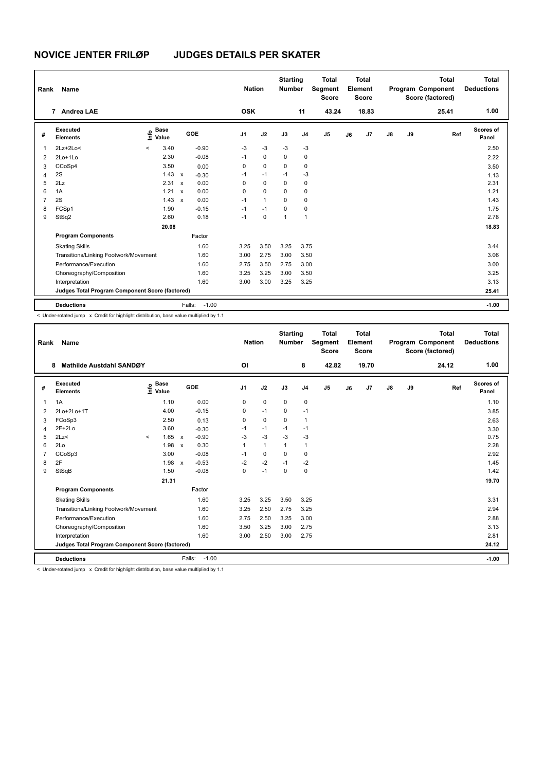| Rank           | Name                                            |         |                      |                           |         | <b>Nation</b>  |              | <b>Starting</b><br><b>Number</b> |                | <b>Total</b><br>Segment<br><b>Score</b> |    | <b>Total</b><br>Element<br><b>Score</b> |               |    | <b>Total</b><br>Program Component<br>Score (factored) | <b>Total</b><br><b>Deductions</b> |
|----------------|-------------------------------------------------|---------|----------------------|---------------------------|---------|----------------|--------------|----------------------------------|----------------|-----------------------------------------|----|-----------------------------------------|---------------|----|-------------------------------------------------------|-----------------------------------|
|                | 7 Andrea LAE                                    |         |                      |                           |         | <b>OSK</b>     |              |                                  | 11             | 43.24                                   |    | 18.83                                   |               |    | 25.41                                                 | 1.00                              |
| #              | Executed<br><b>Elements</b>                     | Info    | <b>Base</b><br>Value |                           | GOE     | J <sub>1</sub> | J2           | J3                               | J <sub>4</sub> | J <sub>5</sub>                          | J6 | J7                                      | $\mathsf{J}8$ | J9 | Ref                                                   | Scores of<br>Panel                |
| 1              | $2Lz+2Lo<$                                      | $\prec$ | 3.40                 |                           | $-0.90$ | $-3$           | $-3$         | $-3$                             | $-3$           |                                         |    |                                         |               |    |                                                       | 2.50                              |
| $\overline{2}$ | $2Lo+1Lo$                                       |         | 2.30                 |                           | $-0.08$ | $-1$           | $\mathbf 0$  | $\Omega$                         | $\mathbf 0$    |                                         |    |                                         |               |    |                                                       | 2.22                              |
| 3              | CCoSp4                                          |         | 3.50                 |                           | 0.00    | 0              | $\mathbf 0$  | 0                                | 0              |                                         |    |                                         |               |    |                                                       | 3.50                              |
| 4              | 2S                                              |         | 1.43                 | $\boldsymbol{\mathsf{x}}$ | $-0.30$ | $-1$           | $-1$         | $-1$                             | $-3$           |                                         |    |                                         |               |    |                                                       | 1.13                              |
| 5              | 2Lz                                             |         | $2.31 \times$        |                           | 0.00    | $\Omega$       | $\Omega$     | 0                                | 0              |                                         |    |                                         |               |    |                                                       | 2.31                              |
| 6              | 1A                                              |         | $1.21 \times$        |                           | 0.00    | $\Omega$       | $\Omega$     | $\Omega$                         | 0              |                                         |    |                                         |               |    |                                                       | 1.21                              |
| 7              | 2S                                              |         | 1.43                 | $\mathsf{x}$              | 0.00    | $-1$           | $\mathbf{1}$ | $\Omega$                         | $\mathbf 0$    |                                         |    |                                         |               |    |                                                       | 1.43                              |
| 8              | FCSp1                                           |         | 1.90                 |                           | $-0.15$ | $-1$           | $-1$         | 0                                | 0              |                                         |    |                                         |               |    |                                                       | 1.75                              |
| 9              | StSq2                                           |         | 2.60                 |                           | 0.18    | $-1$           | 0            | 1                                | $\overline{1}$ |                                         |    |                                         |               |    |                                                       | 2.78                              |
|                |                                                 |         | 20.08                |                           |         |                |              |                                  |                |                                         |    |                                         |               |    |                                                       | 18.83                             |
|                | <b>Program Components</b>                       |         |                      |                           | Factor  |                |              |                                  |                |                                         |    |                                         |               |    |                                                       |                                   |
|                | <b>Skating Skills</b>                           |         |                      |                           | 1.60    | 3.25           | 3.50         | 3.25                             | 3.75           |                                         |    |                                         |               |    |                                                       | 3.44                              |
|                | Transitions/Linking Footwork/Movement           |         |                      |                           | 1.60    | 3.00           | 2.75         | 3.00                             | 3.50           |                                         |    |                                         |               |    |                                                       | 3.06                              |
|                | Performance/Execution                           |         |                      |                           | 1.60    | 2.75           | 3.50         | 2.75                             | 3.00           |                                         |    |                                         |               |    |                                                       | 3.00                              |
|                | Choreography/Composition                        |         |                      |                           | 1.60    | 3.25           | 3.25         | 3.00                             | 3.50           |                                         |    |                                         |               |    |                                                       | 3.25                              |
|                | Interpretation                                  |         |                      |                           | 1.60    | 3.00           | 3.00         | 3.25                             | 3.25           |                                         |    |                                         |               |    |                                                       | 3.13                              |
|                | Judges Total Program Component Score (factored) |         |                      |                           |         |                |              |                                  |                |                                         |    |                                         |               |    |                                                       | 25.41                             |
|                | <b>Deductions</b>                               |         |                      | Falls:                    | $-1.00$ |                |              |                                  |                |                                         |    |                                         |               |    |                                                       | $-1.00$                           |

< Under-rotated jump x Credit for highlight distribution, base value multiplied by 1.1

| Rank | Name                                                                                                             |              |                                           |              |                   | <b>Nation</b>  |              | <b>Starting</b><br><b>Number</b> |                | <b>Total</b><br>Segment<br><b>Score</b> |    | <b>Total</b><br>Element<br><b>Score</b> |               |    | <b>Total</b><br>Program Component<br>Score (factored) | <b>Total</b><br><b>Deductions</b> |
|------|------------------------------------------------------------------------------------------------------------------|--------------|-------------------------------------------|--------------|-------------------|----------------|--------------|----------------------------------|----------------|-----------------------------------------|----|-----------------------------------------|---------------|----|-------------------------------------------------------|-----------------------------------|
|      | Mathilde Austdahl SANDØY<br>8                                                                                    |              |                                           |              |                   | <b>OI</b>      |              |                                  | 8              | 42.82                                   |    | 19.70                                   |               |    | 24.12                                                 | 1.00                              |
| #    | Executed<br><b>Elements</b>                                                                                      |              | $\frac{e}{E}$ Base<br>$\frac{e}{E}$ Value |              | GOE               | J <sub>1</sub> | J2           | J3                               | J <sub>4</sub> | J5                                      | J6 | J7                                      | $\mathsf{J}8$ | J9 | Ref                                                   | Scores of<br>Panel                |
| 1    | 1A                                                                                                               |              | 1.10                                      |              | 0.00              | 0              | 0            | 0                                | 0              |                                         |    |                                         |               |    |                                                       | 1.10                              |
| 2    | 2Lo+2Lo+1T                                                                                                       |              | 4.00                                      |              | $-0.15$           | 0              | $-1$         | 0                                | $-1$           |                                         |    |                                         |               |    |                                                       | 3.85                              |
| 3    | FCoSp3                                                                                                           |              | 2.50                                      |              | 0.13              | 0              | 0            | 0                                | 1              |                                         |    |                                         |               |    |                                                       | 2.63                              |
| 4    | $2F+2Lo$                                                                                                         |              | 3.60                                      |              | $-0.30$           | $-1$           | $-1$         | $-1$                             | $-1$           |                                         |    |                                         |               |    |                                                       | 3.30                              |
| 5    | 2Lz                                                                                                              | $\checkmark$ | $1.65 \times$                             |              | $-0.90$           | $-3$           | $-3$         | $-3$                             | $-3$           |                                         |    |                                         |               |    |                                                       | 0.75                              |
| 6    | 2Lo                                                                                                              |              | 1.98 x                                    |              | 0.30              |                | $\mathbf{1}$ | 1                                | $\mathbf{1}$   |                                         |    |                                         |               |    |                                                       | 2.28                              |
|      | CCoSp3                                                                                                           |              | 3.00                                      |              | $-0.08$           | $-1$           | $\mathbf 0$  | $\Omega$                         | 0              |                                         |    |                                         |               |    |                                                       | 2.92                              |
| 8    | 2F                                                                                                               |              | 1.98                                      | $\mathsf{x}$ | $-0.53$           | $-2$           | $-2$         | $-1$                             | $-2$           |                                         |    |                                         |               |    |                                                       | 1.45                              |
| 9    | StSqB                                                                                                            |              | 1.50                                      |              | $-0.08$           | $\Omega$       | $-1$         | $\Omega$                         | 0              |                                         |    |                                         |               |    |                                                       | 1.42                              |
|      |                                                                                                                  |              | 21.31                                     |              |                   |                |              |                                  |                |                                         |    |                                         |               |    |                                                       | 19.70                             |
|      | <b>Program Components</b>                                                                                        |              |                                           |              | Factor            |                |              |                                  |                |                                         |    |                                         |               |    |                                                       |                                   |
|      | <b>Skating Skills</b>                                                                                            |              |                                           |              | 1.60              | 3.25           | 3.25         | 3.50                             | 3.25           |                                         |    |                                         |               |    |                                                       | 3.31                              |
|      | Transitions/Linking Footwork/Movement                                                                            |              |                                           |              | 1.60              | 3.25           | 2.50         | 2.75                             | 3.25           |                                         |    |                                         |               |    |                                                       | 2.94                              |
|      | Performance/Execution                                                                                            |              |                                           |              | 1.60              | 2.75           | 2.50         | 3.25                             | 3.00           |                                         |    |                                         |               |    |                                                       | 2.88                              |
|      | Choreography/Composition                                                                                         |              |                                           |              | 1.60              | 3.50           | 3.25         | 3.00                             | 2.75           |                                         |    |                                         |               |    |                                                       | 3.13                              |
|      | Interpretation                                                                                                   |              |                                           |              | 1.60              | 3.00           | 2.50         | 3.00                             | 2.75           |                                         |    |                                         |               |    |                                                       | 2.81                              |
|      | Judges Total Program Component Score (factored)                                                                  |              |                                           |              |                   |                |              |                                  |                |                                         |    |                                         |               |    |                                                       | 24.12                             |
|      | <b>Deductions</b>                                                                                                |              |                                           |              | Falls:<br>$-1.00$ |                |              |                                  |                |                                         |    |                                         |               |    |                                                       | $-1.00$                           |
|      | The decomposition to see that the distribution of the distribution of the control securities of the state of the |              |                                           |              |                   |                |              |                                  |                |                                         |    |                                         |               |    |                                                       |                                   |

er-rotated jump  $\,$  x  $\,$  Credit for highlight distribution, base value multiplied by 1.1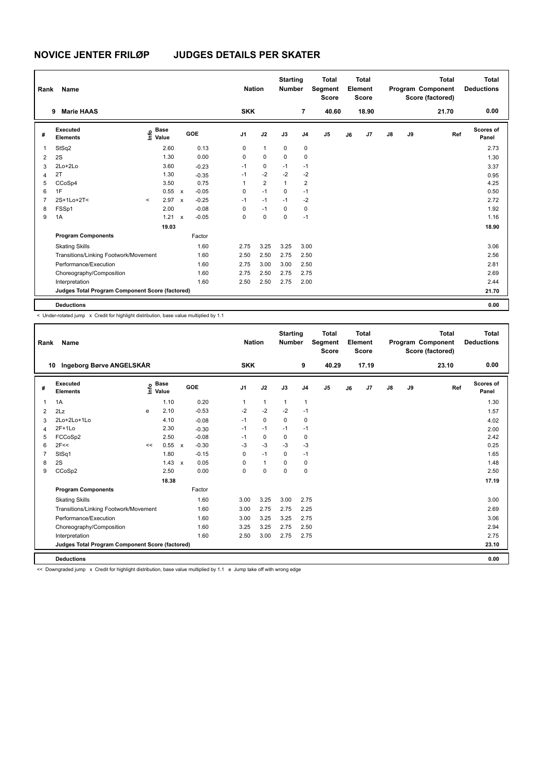| Rank           | Name                                            |         |                      |                           |            | <b>Nation</b>  |                | <b>Starting</b><br><b>Number</b> |                | <b>Total</b><br>Segment<br><b>Score</b> |    | <b>Total</b><br>Element<br><b>Score</b> |               |    | <b>Total</b><br>Program Component<br>Score (factored) | <b>Total</b><br><b>Deductions</b> |
|----------------|-------------------------------------------------|---------|----------------------|---------------------------|------------|----------------|----------------|----------------------------------|----------------|-----------------------------------------|----|-----------------------------------------|---------------|----|-------------------------------------------------------|-----------------------------------|
|                | <b>Marie HAAS</b><br>9                          |         |                      |                           |            | <b>SKK</b>     |                |                                  | $\overline{7}$ | 40.60                                   |    | 18.90                                   |               |    | 21.70                                                 | 0.00                              |
| #              | Executed<br><b>Elements</b>                     | ١m      | <b>Base</b><br>Value |                           | <b>GOE</b> | J <sub>1</sub> | J2             | J3                               | J <sub>4</sub> | J <sub>5</sub>                          | J6 | J7                                      | $\mathsf{J}8$ | J9 | Ref                                                   | Scores of<br>Panel                |
| 1              | StSq2                                           |         | 2.60                 |                           | 0.13       | 0              | $\mathbf{1}$   | 0                                | 0              |                                         |    |                                         |               |    |                                                       | 2.73                              |
| 2              | 2S                                              |         | 1.30                 |                           | 0.00       | 0              | $\mathbf 0$    | $\Omega$                         | 0              |                                         |    |                                         |               |    |                                                       | 1.30                              |
| 3              | 2Lo+2Lo                                         |         | 3.60                 |                           | $-0.23$    | $-1$           | 0              | $-1$                             | $-1$           |                                         |    |                                         |               |    |                                                       | 3.37                              |
| $\overline{4}$ | 2T                                              |         | 1.30                 |                           | $-0.35$    | $-1$           | $-2$           | $-2$                             | $-2$           |                                         |    |                                         |               |    |                                                       | 0.95                              |
| 5              | CCoSp4                                          |         | 3.50                 |                           | 0.75       | 1              | $\overline{2}$ | $\mathbf{1}$                     | $\overline{2}$ |                                         |    |                                         |               |    |                                                       | 4.25                              |
| 6              | 1F                                              |         | 0.55                 | $\mathsf{x}$              | $-0.05$    | 0              | $-1$           | 0                                | $-1$           |                                         |    |                                         |               |    |                                                       | 0.50                              |
| $\overline{7}$ | 2S+1Lo+2T<                                      | $\prec$ | 2.97                 | $\boldsymbol{\mathsf{x}}$ | $-0.25$    | $-1$           | $-1$           | $-1$                             | $-2$           |                                         |    |                                         |               |    |                                                       | 2.72                              |
| 8              | FSSp1                                           |         | 2.00                 |                           | $-0.08$    | 0              | $-1$           | 0                                | 0              |                                         |    |                                         |               |    |                                                       | 1.92                              |
| 9              | 1A                                              |         | 1.21                 | $\mathsf{x}$              | $-0.05$    | 0              | 0              | 0                                | $-1$           |                                         |    |                                         |               |    |                                                       | 1.16                              |
|                |                                                 |         | 19.03                |                           |            |                |                |                                  |                |                                         |    |                                         |               |    |                                                       | 18.90                             |
|                | <b>Program Components</b>                       |         |                      |                           | Factor     |                |                |                                  |                |                                         |    |                                         |               |    |                                                       |                                   |
|                | <b>Skating Skills</b>                           |         |                      |                           | 1.60       | 2.75           | 3.25           | 3.25                             | 3.00           |                                         |    |                                         |               |    |                                                       | 3.06                              |
|                | Transitions/Linking Footwork/Movement           |         |                      |                           | 1.60       | 2.50           | 2.50           | 2.75                             | 2.50           |                                         |    |                                         |               |    |                                                       | 2.56                              |
|                | Performance/Execution                           |         |                      |                           | 1.60       | 2.75           | 3.00           | 3.00                             | 2.50           |                                         |    |                                         |               |    |                                                       | 2.81                              |
|                | Choreography/Composition                        |         |                      |                           | 1.60       | 2.75           | 2.50           | 2.75                             | 2.75           |                                         |    |                                         |               |    |                                                       | 2.69                              |
|                | Interpretation                                  |         |                      |                           | 1.60       | 2.50           | 2.50           | 2.75                             | 2.00           |                                         |    |                                         |               |    |                                                       | 2.44                              |
|                | Judges Total Program Component Score (factored) |         |                      |                           |            |                |                |                                  |                |                                         |    |                                         |               |    |                                                       | 21.70                             |
|                | <b>Deductions</b>                               |         |                      |                           |            |                |                |                                  |                |                                         |    |                                         |               |    |                                                       | 0.00                              |

< Under-rotated jump x Credit for highlight distribution, base value multiplied by 1.1

| Rank           | Name                                            |    |                                  |              |         |                | <b>Nation</b> |              | <b>Starting</b><br><b>Number</b> |                | <b>Total</b><br>Segment<br><b>Score</b> |    | <b>Total</b><br>Element<br><b>Score</b> |               |    | <b>Total</b><br><b>Program Component</b><br>Score (factored) | <b>Total</b><br><b>Deductions</b> |
|----------------|-------------------------------------------------|----|----------------------------------|--------------|---------|----------------|---------------|--------------|----------------------------------|----------------|-----------------------------------------|----|-----------------------------------------|---------------|----|--------------------------------------------------------------|-----------------------------------|
| 10             | Ingeborg Børve ANGELSKÅR                        |    |                                  |              |         |                | <b>SKK</b>    |              |                                  | 9              | 40.29                                   |    | 17.19                                   |               |    | 23.10                                                        | 0.00                              |
| #              | Executed<br><b>Elements</b>                     |    | <b>Base</b><br>o Base<br>⊆ Value |              | GOE     | J <sub>1</sub> |               | J2           | J3                               | J <sub>4</sub> | J <sub>5</sub>                          | J6 | J7                                      | $\mathsf{J}8$ | J9 | Ref                                                          | Scores of<br>Panel                |
| $\mathbf{1}$   | 1A                                              |    | 1.10                             |              | 0.20    | 1              |               | $\mathbf{1}$ | $\mathbf{1}$                     | $\mathbf{1}$   |                                         |    |                                         |               |    |                                                              | 1.30                              |
| $\overline{2}$ | 2Lz                                             | e  | 2.10                             |              | $-0.53$ | $-2$           |               | $-2$         | $-2$                             | $-1$           |                                         |    |                                         |               |    |                                                              | 1.57                              |
| 3              | 2Lo+2Lo+1Lo                                     |    | 4.10                             |              | $-0.08$ | $-1$           |               | 0            | $\Omega$                         | 0              |                                         |    |                                         |               |    |                                                              | 4.02                              |
| $\overline{4}$ | $2F+1Lo$                                        |    | 2.30                             |              | $-0.30$ | $-1$           |               | $-1$         | $-1$                             | $-1$           |                                         |    |                                         |               |    |                                                              | 2.00                              |
| 5              | FCCoSp2                                         |    | 2.50                             |              | $-0.08$ | $-1$           |               | $\mathbf 0$  | 0                                | $\mathbf 0$    |                                         |    |                                         |               |    |                                                              | 2.42                              |
| 6              | 2F<<                                            | << | 0.55                             | $\mathsf{x}$ | $-0.30$ | $-3$           |               | $-3$         | $-3$                             | $-3$           |                                         |    |                                         |               |    |                                                              | 0.25                              |
| $\overline{7}$ | StSq1                                           |    | 1.80                             |              | $-0.15$ | 0              |               | $-1$         | 0                                | $-1$           |                                         |    |                                         |               |    |                                                              | 1.65                              |
| 8              | 2S                                              |    | 1.43                             | $\mathbf{x}$ | 0.05    | 0              |               | $\mathbf{1}$ | $\Omega$                         | 0              |                                         |    |                                         |               |    |                                                              | 1.48                              |
| 9              | CCoSp2                                          |    | 2.50                             |              | 0.00    | 0              |               | $\mathbf 0$  | $\mathbf 0$                      | $\mathbf 0$    |                                         |    |                                         |               |    |                                                              | 2.50                              |
|                |                                                 |    | 18.38                            |              |         |                |               |              |                                  |                |                                         |    |                                         |               |    |                                                              | 17.19                             |
|                | <b>Program Components</b>                       |    |                                  |              | Factor  |                |               |              |                                  |                |                                         |    |                                         |               |    |                                                              |                                   |
|                | <b>Skating Skills</b>                           |    |                                  |              | 1.60    | 3.00           |               | 3.25         | 3.00                             | 2.75           |                                         |    |                                         |               |    |                                                              | 3.00                              |
|                | Transitions/Linking Footwork/Movement           |    |                                  |              | 1.60    | 3.00           |               | 2.75         | 2.75                             | 2.25           |                                         |    |                                         |               |    |                                                              | 2.69                              |
|                | Performance/Execution                           |    |                                  |              | 1.60    | 3.00           |               | 3.25         | 3.25                             | 2.75           |                                         |    |                                         |               |    |                                                              | 3.06                              |
|                | Choreography/Composition                        |    |                                  |              | 1.60    | 3.25           |               | 3.25         | 2.75                             | 2.50           |                                         |    |                                         |               |    |                                                              | 2.94                              |
|                | Interpretation                                  |    |                                  |              | 1.60    | 2.50           |               | 3.00         | 2.75                             | 2.75           |                                         |    |                                         |               |    |                                                              | 2.75                              |
|                | Judges Total Program Component Score (factored) |    |                                  |              |         |                |               |              |                                  |                |                                         |    |                                         |               |    |                                                              | 23.10                             |
|                | <b>Deductions</b>                               |    |                                  |              |         |                |               |              |                                  |                |                                         |    |                                         |               |    |                                                              | 0.00                              |

<< Downgraded jump x Credit for highlight distribution, base value multiplied by 1.1 e Jump take off with wrong edge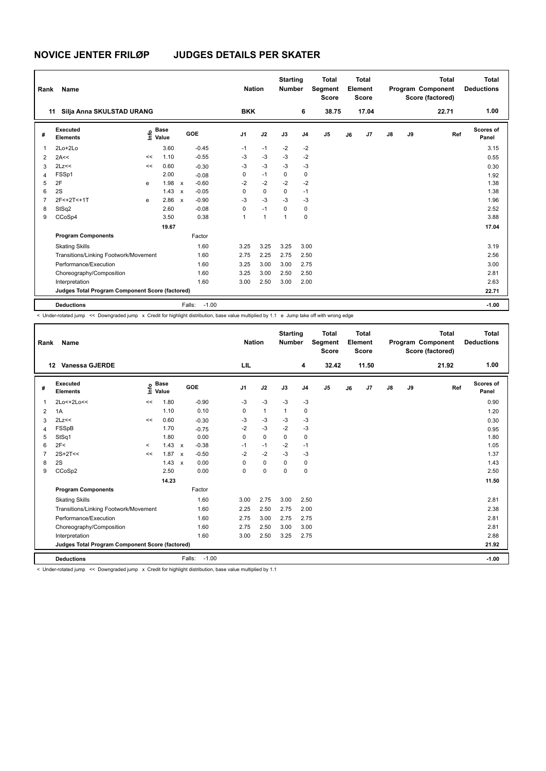| Rank           | Name                                            |    |                                  |              |                   | <b>Nation</b>  |              | <b>Starting</b><br><b>Number</b> |                | <b>Total</b><br>Segment<br><b>Score</b> |    | <b>Total</b><br>Element<br><b>Score</b> |               |    | <b>Total</b><br>Program Component<br>Score (factored) | <b>Total</b><br><b>Deductions</b> |
|----------------|-------------------------------------------------|----|----------------------------------|--------------|-------------------|----------------|--------------|----------------------------------|----------------|-----------------------------------------|----|-----------------------------------------|---------------|----|-------------------------------------------------------|-----------------------------------|
| 11             | Silja Anna SKULSTAD URANG                       |    |                                  |              |                   | <b>BKK</b>     |              |                                  | 6              | 38.75                                   |    | 17.04                                   |               |    | 22.71                                                 | 1.00                              |
| #              | Executed<br><b>Elements</b>                     |    | <b>Base</b><br>e Base<br>E Value |              | GOE               | J <sub>1</sub> | J2           | J3                               | J <sub>4</sub> | J <sub>5</sub>                          | J6 | J7                                      | $\mathsf{J}8$ | J9 | Ref                                                   | Scores of<br>Panel                |
| 1              | $2Lo+2Lo$                                       |    | 3.60                             |              | $-0.45$           | $-1$           | $-1$         | $-2$                             | $-2$           |                                         |    |                                         |               |    |                                                       | 3.15                              |
| 2              | 2A<<                                            | << | 1.10                             |              | $-0.55$           | -3             | $-3$         | $-3$                             | $-2$           |                                         |    |                                         |               |    |                                                       | 0.55                              |
| 3              | 2Lz<<                                           | << | 0.60                             |              | $-0.30$           | -3             | $-3$         | $-3$                             | $-3$           |                                         |    |                                         |               |    |                                                       | 0.30                              |
| $\overline{4}$ | FSSp1                                           |    | 2.00                             |              | $-0.08$           | 0              | $-1$         | 0                                | 0              |                                         |    |                                         |               |    |                                                       | 1.92                              |
| 5              | 2F                                              | e  | 1.98                             | $\mathsf{x}$ | $-0.60$           | $-2$           | $-2$         | $-2$                             | $-2$           |                                         |    |                                         |               |    |                                                       | 1.38                              |
| 6              | 2S                                              |    | 1.43                             | $\mathsf{x}$ | $-0.05$           | 0              | $\mathbf 0$  | $\mathbf 0$                      | $-1$           |                                         |    |                                         |               |    |                                                       | 1.38                              |
| 7              | 2F<+2T<+1T                                      | e  | 2.86                             | $\mathsf{x}$ | $-0.90$           | $-3$           | $-3$         | $-3$                             | -3             |                                         |    |                                         |               |    |                                                       | 1.96                              |
| 8              | StSq2                                           |    | 2.60                             |              | $-0.08$           | 0              | $-1$         | 0                                | 0              |                                         |    |                                         |               |    |                                                       | 2.52                              |
| 9              | CCoSp4                                          |    | 3.50                             |              | 0.38              | $\mathbf{1}$   | $\mathbf{1}$ | 1                                | 0              |                                         |    |                                         |               |    |                                                       | 3.88                              |
|                |                                                 |    | 19.67                            |              |                   |                |              |                                  |                |                                         |    |                                         |               |    |                                                       | 17.04                             |
|                | <b>Program Components</b>                       |    |                                  |              | Factor            |                |              |                                  |                |                                         |    |                                         |               |    |                                                       |                                   |
|                | <b>Skating Skills</b>                           |    |                                  |              | 1.60              | 3.25           | 3.25         | 3.25                             | 3.00           |                                         |    |                                         |               |    |                                                       | 3.19                              |
|                | Transitions/Linking Footwork/Movement           |    |                                  |              | 1.60              | 2.75           | 2.25         | 2.75                             | 2.50           |                                         |    |                                         |               |    |                                                       | 2.56                              |
|                | Performance/Execution                           |    |                                  |              | 1.60              | 3.25           | 3.00         | 3.00                             | 2.75           |                                         |    |                                         |               |    |                                                       | 3.00                              |
|                | Choreography/Composition                        |    |                                  |              | 1.60              | 3.25           | 3.00         | 2.50                             | 2.50           |                                         |    |                                         |               |    |                                                       | 2.81                              |
|                | Interpretation                                  |    |                                  |              | 1.60              | 3.00           | 2.50         | 3.00                             | 2.00           |                                         |    |                                         |               |    |                                                       | 2.63                              |
|                | Judges Total Program Component Score (factored) |    |                                  |              |                   |                |              |                                  |                |                                         |    |                                         |               |    |                                                       | 22.71                             |
|                | <b>Deductions</b>                               |    |                                  |              | $-1.00$<br>Falls: |                |              |                                  |                |                                         |    |                                         |               |    |                                                       | $-1.00$                           |

< Under-rotated jump << Downgraded jump x Credit for highlight distribution, base value multiplied by 1.1 e Jump take off with wrong edge

| Rank           | Name                                            |         |                      |                           |                   | <b>Nation</b>  |              | <b>Starting</b><br><b>Number</b> |                | <b>Total</b><br>Segment<br><b>Score</b> |    | <b>Total</b><br>Element<br><b>Score</b> |    |    | <b>Total</b><br>Program Component<br>Score (factored) | <b>Total</b><br><b>Deductions</b> |
|----------------|-------------------------------------------------|---------|----------------------|---------------------------|-------------------|----------------|--------------|----------------------------------|----------------|-----------------------------------------|----|-----------------------------------------|----|----|-------------------------------------------------------|-----------------------------------|
| 12             | <b>Vanessa GJERDE</b>                           |         |                      |                           |                   | LIL            |              |                                  | 4              | 32.42                                   |    | 11.50                                   |    |    | 21.92                                                 | 1.00                              |
| #              | Executed<br><b>Elements</b>                     | lnfo    | <b>Base</b><br>Value |                           | GOE               | J <sub>1</sub> | J2           | J3                               | J <sub>4</sub> | J <sub>5</sub>                          | J6 | J <sub>7</sub>                          | J8 | J9 | Ref                                                   | <b>Scores of</b><br>Panel         |
| $\mathbf{1}$   | 2Lo<+2Lo<<                                      | <<      | 1.80                 |                           | $-0.90$           | -3             | $-3$         | $-3$                             | $-3$           |                                         |    |                                         |    |    |                                                       | 0.90                              |
| $\overline{2}$ | 1A                                              |         | 1.10                 |                           | 0.10              | 0              | $\mathbf{1}$ | $\mathbf{1}$                     | 0              |                                         |    |                                         |    |    |                                                       | 1.20                              |
| 3              | 2Lz<<                                           | $\,<$   | 0.60                 |                           | $-0.30$           | $-3$           | $-3$         | $-3$                             | $-3$           |                                         |    |                                         |    |    |                                                       | 0.30                              |
| 4              | FSSpB                                           |         | 1.70                 |                           | $-0.75$           | $-2$           | $-3$         | $-2$                             | $-3$           |                                         |    |                                         |    |    |                                                       | 0.95                              |
| 5              | StSq1                                           |         | 1.80                 |                           | 0.00              | 0              | $\Omega$     | 0                                | 0              |                                         |    |                                         |    |    |                                                       | 1.80                              |
| 6              | 2F<                                             | $\prec$ | $1.43 \times$        |                           | $-0.38$           | $-1$           | $-1$         | $-2$                             | $-1$           |                                         |    |                                         |    |    |                                                       | 1.05                              |
| $\overline{7}$ | $2S+2T<<$                                       | <<      | 1.87                 | $\boldsymbol{\mathsf{x}}$ | $-0.50$           | $-2$           | $-2$         | $-3$                             | $-3$           |                                         |    |                                         |    |    |                                                       | 1.37                              |
| 8              | 2S                                              |         | 1.43                 | $\boldsymbol{\mathsf{x}}$ | 0.00              | 0              | $\mathbf 0$  | $\mathbf 0$                      | $\mathbf 0$    |                                         |    |                                         |    |    |                                                       | 1.43                              |
| 9              | CCoSp2                                          |         | 2.50                 |                           | 0.00              | 0              | $\Omega$     | $\Omega$                         | $\Omega$       |                                         |    |                                         |    |    |                                                       | 2.50                              |
|                |                                                 |         | 14.23                |                           |                   |                |              |                                  |                |                                         |    |                                         |    |    |                                                       | 11.50                             |
|                | <b>Program Components</b>                       |         |                      |                           | Factor            |                |              |                                  |                |                                         |    |                                         |    |    |                                                       |                                   |
|                | <b>Skating Skills</b>                           |         |                      |                           | 1.60              | 3.00           | 2.75         | 3.00                             | 2.50           |                                         |    |                                         |    |    |                                                       | 2.81                              |
|                | Transitions/Linking Footwork/Movement           |         |                      |                           | 1.60              | 2.25           | 2.50         | 2.75                             | 2.00           |                                         |    |                                         |    |    |                                                       | 2.38                              |
|                | Performance/Execution                           |         |                      |                           | 1.60              | 2.75           | 3.00         | 2.75                             | 2.75           |                                         |    |                                         |    |    |                                                       | 2.81                              |
|                | Choreography/Composition                        |         |                      |                           | 1.60              | 2.75           | 2.50         | 3.00                             | 3.00           |                                         |    |                                         |    |    |                                                       | 2.81                              |
|                | Interpretation                                  |         |                      |                           | 1.60              | 3.00           | 2.50         | 3.25                             | 2.75           |                                         |    |                                         |    |    |                                                       | 2.88                              |
|                | Judges Total Program Component Score (factored) |         |                      |                           |                   |                |              |                                  |                |                                         |    |                                         |    |    |                                                       | 21.92                             |
|                | <b>Deductions</b>                               |         |                      |                           | $-1.00$<br>Falls: |                |              |                                  |                |                                         |    |                                         |    |    |                                                       | $-1.00$                           |

< Under-rotated jump << Downgraded jump x Credit for highlight distribution, base value multiplied by 1.1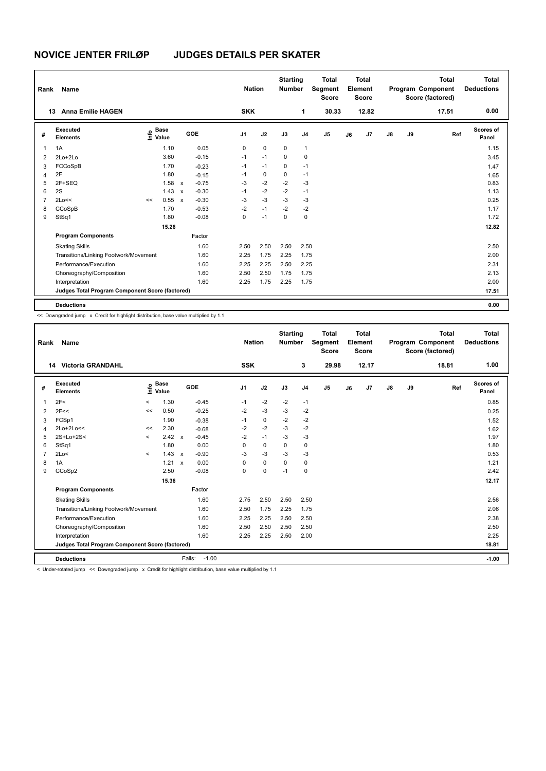| Rank           |                                                 | <b>Nation</b> |                                  |              | <b>Starting</b><br><b>Number</b> | <b>Total</b><br>Segment<br><b>Score</b> | Total<br>Element<br><b>Score</b> |             |             |                | <b>Total</b><br>Program Component<br>Score (factored) | <b>Total</b><br><b>Deductions</b> |                |               |    |       |                    |
|----------------|-------------------------------------------------|---------------|----------------------------------|--------------|----------------------------------|-----------------------------------------|----------------------------------|-------------|-------------|----------------|-------------------------------------------------------|-----------------------------------|----------------|---------------|----|-------|--------------------|
|                | <b>Anna Emilie HAGEN</b><br>13                  |               |                                  |              |                                  | <b>SKK</b>                              |                                  |             |             | 1              | 30.33                                                 |                                   | 12.82          |               |    | 17.51 | 0.00               |
| #              | Executed<br><b>Elements</b>                     |               | <b>Base</b><br>e Base<br>E Value |              | GOE                              | J <sub>1</sub>                          | J2                               |             | J3          | J <sub>4</sub> | J <sub>5</sub>                                        | J6                                | J <sub>7</sub> | $\mathsf{J}8$ | J9 | Ref   | Scores of<br>Panel |
| 1              | 1A                                              |               | 1.10                             |              | 0.05                             | 0                                       |                                  | $\mathbf 0$ | $\mathbf 0$ | $\mathbf{1}$   |                                                       |                                   |                |               |    |       | 1.15               |
| 2              | $2Lo+2Lo$                                       |               | 3.60                             |              | $-0.15$                          | $-1$                                    |                                  | $-1$        | $\mathbf 0$ | $\mathbf 0$    |                                                       |                                   |                |               |    |       | 3.45               |
| 3              | FCCoSpB                                         |               | 1.70                             |              | $-0.23$                          | $-1$                                    |                                  | $-1$        | 0           | $-1$           |                                                       |                                   |                |               |    |       | 1.47               |
| $\overline{4}$ | 2F                                              |               | 1.80                             |              | $-0.15$                          | $-1$                                    |                                  | 0           | 0           | $-1$           |                                                       |                                   |                |               |    |       | 1.65               |
| 5              | 2F+SEQ                                          |               | 1.58                             | $\mathsf{x}$ | $-0.75$                          | -3                                      |                                  | $-2$        | $-2$        | $-3$           |                                                       |                                   |                |               |    |       | 0.83               |
| 6              | 2S                                              |               | 1.43                             | $\mathsf{x}$ | $-0.30$                          | $-1$                                    |                                  | $-2$        | $-2$        | $-1$           |                                                       |                                   |                |               |    |       | 1.13               |
| $\overline{7}$ | 2Lo<<                                           | <<            | 0.55                             | $\mathsf{x}$ | $-0.30$                          | $-3$                                    |                                  | $-3$        | $-3$        | $-3$           |                                                       |                                   |                |               |    |       | 0.25               |
| 8              | CCoSpB                                          |               | 1.70                             |              | $-0.53$                          | $-2$                                    | $-1$                             |             | $-2$        | $-2$           |                                                       |                                   |                |               |    |       | 1.17               |
| 9              | StSq1                                           |               | 1.80                             |              | $-0.08$                          | 0                                       | $-1$                             |             | $\mathbf 0$ | $\mathbf 0$    |                                                       |                                   |                |               |    |       | 1.72               |
|                |                                                 |               | 15.26                            |              |                                  |                                         |                                  |             |             |                |                                                       |                                   |                |               |    |       | 12.82              |
|                | <b>Program Components</b>                       |               |                                  |              | Factor                           |                                         |                                  |             |             |                |                                                       |                                   |                |               |    |       |                    |
|                | <b>Skating Skills</b>                           |               |                                  |              | 1.60                             | 2.50                                    |                                  | 2.50        | 2.50        | 2.50           |                                                       |                                   |                |               |    |       | 2.50               |
|                | Transitions/Linking Footwork/Movement           |               |                                  |              | 1.60                             | 2.25                                    |                                  | 1.75        | 2.25        | 1.75           |                                                       |                                   |                |               |    |       | 2.00               |
|                | Performance/Execution                           |               |                                  |              | 1.60                             | 2.25                                    |                                  | 2.25        | 2.50        | 2.25           |                                                       |                                   |                |               |    |       | 2.31               |
|                | Choreography/Composition                        |               |                                  |              | 1.60                             | 2.50                                    |                                  | 2.50        | 1.75        | 1.75           |                                                       |                                   |                |               |    |       | 2.13               |
|                | Interpretation                                  |               |                                  |              | 1.60                             | 2.25                                    |                                  | 1.75        | 2.25        | 1.75           |                                                       |                                   |                |               |    |       | 2.00               |
|                | Judges Total Program Component Score (factored) |               |                                  |              |                                  |                                         |                                  |             |             |                |                                                       |                                   |                |               |    |       | 17.51              |
|                | <b>Deductions</b>                               |               |                                  |              |                                  |                                         |                                  |             |             |                |                                                       |                                   |                |               |    |       | 0.00               |

<< Downgraded jump x Credit for highlight distribution, base value multiplied by 1.1

| Rank           | Name                                            |          |                      |              |                   | <b>Nation</b>  |             | <b>Starting</b><br><b>Number</b> |                | <b>Total</b><br>Segment<br><b>Score</b> |    | <b>Total</b><br>Element<br><b>Score</b> |               |    | <b>Total</b><br>Program Component<br>Score (factored) | <b>Total</b><br><b>Deductions</b> |
|----------------|-------------------------------------------------|----------|----------------------|--------------|-------------------|----------------|-------------|----------------------------------|----------------|-----------------------------------------|----|-----------------------------------------|---------------|----|-------------------------------------------------------|-----------------------------------|
|                | <b>14 Victoria GRANDAHL</b>                     |          |                      |              |                   | <b>SSK</b>     |             |                                  | 3              | 29.98                                   |    | 12.17                                   |               |    | 18.81                                                 | 1.00                              |
| #              | Executed<br><b>Elements</b>                     | ۴٥       | <b>Base</b><br>Value |              | GOE               | J <sub>1</sub> | J2          | J3                               | J <sub>4</sub> | J <sub>5</sub>                          | J6 | J7                                      | $\mathsf{J}8$ | J9 | Ref                                                   | <b>Scores of</b><br>Panel         |
| 1              | 2F<                                             | $\hat{}$ | 1.30                 |              | $-0.45$           | $-1$           | $-2$        | $-2$                             | $-1$           |                                         |    |                                         |               |    |                                                       | 0.85                              |
| 2              | 2F<<                                            | <<       | 0.50                 |              | $-0.25$           | $-2$           | $-3$        | $-3$                             | $-2$           |                                         |    |                                         |               |    |                                                       | 0.25                              |
| 3              | FCSp1                                           |          | 1.90                 |              | $-0.38$           | $-1$           | 0           | $-2$                             | $-2$           |                                         |    |                                         |               |    |                                                       | 1.52                              |
| 4              | 2Lo+2Lo<<                                       | <<       | 2.30                 |              | $-0.68$           | $-2$           | $-2$        | $-3$                             | $-2$           |                                         |    |                                         |               |    |                                                       | 1.62                              |
| 5              | 2S+Lo+2S<                                       | $\prec$  | 2.42                 | $\mathsf{x}$ | $-0.45$           | $-2$           | $-1$        | $-3$                             | $-3$           |                                         |    |                                         |               |    |                                                       | 1.97                              |
| 6              | StSq1                                           |          | 1.80                 |              | 0.00              | 0              | $\mathbf 0$ | 0                                | 0              |                                         |    |                                         |               |    |                                                       | 1.80                              |
| $\overline{7}$ | 2Lo<                                            | $\prec$  | 1.43                 | $\mathsf{x}$ | $-0.90$           | -3             | $-3$        | -3                               | $-3$           |                                         |    |                                         |               |    |                                                       | 0.53                              |
| 8              | 1A                                              |          | 1.21 x               |              | 0.00              | $\Omega$       | $\mathbf 0$ | $\Omega$                         | $\pmb{0}$      |                                         |    |                                         |               |    |                                                       | 1.21                              |
| 9              | CCoSp2                                          |          | 2.50                 |              | $-0.08$           | 0              | $\mathbf 0$ | $-1$                             | $\mathbf 0$    |                                         |    |                                         |               |    |                                                       | 2.42                              |
|                |                                                 |          | 15.36                |              |                   |                |             |                                  |                |                                         |    |                                         |               |    |                                                       | 12.17                             |
|                | <b>Program Components</b>                       |          |                      |              | Factor            |                |             |                                  |                |                                         |    |                                         |               |    |                                                       |                                   |
|                | <b>Skating Skills</b>                           |          |                      |              | 1.60              | 2.75           | 2.50        | 2.50                             | 2.50           |                                         |    |                                         |               |    |                                                       | 2.56                              |
|                | Transitions/Linking Footwork/Movement           | 1.60     | 2.50                 | 1.75         | 2.25              | 1.75           |             |                                  |                |                                         |    |                                         | 2.06          |    |                                                       |                                   |
|                | Performance/Execution                           |          |                      |              | 1.60              | 2.25           | 2.25        | 2.50                             | 2.50           |                                         |    |                                         |               |    |                                                       | 2.38                              |
|                | Choreography/Composition                        |          |                      |              | 1.60              | 2.50           | 2.50        | 2.50                             | 2.50           |                                         |    |                                         |               |    |                                                       | 2.50                              |
|                | Interpretation                                  |          |                      |              | 1.60              | 2.25           | 2.25        | 2.50                             | 2.00           |                                         |    |                                         |               |    |                                                       | 2.25                              |
|                | Judges Total Program Component Score (factored) |          |                      |              |                   |                |             |                                  |                |                                         |    |                                         |               |    |                                                       | 18.81                             |
|                | <b>Deductions</b>                               |          |                      |              | $-1.00$<br>Falls: |                |             |                                  |                |                                         |    |                                         |               |    |                                                       | $-1.00$                           |
|                |                                                 |          | .                    |              |                   |                | .           |                                  |                |                                         |    |                                         |               |    |                                                       |                                   |

< Under-rotated jump << Downgraded jump x Credit for highlight distribution, base value multiplied by 1.1